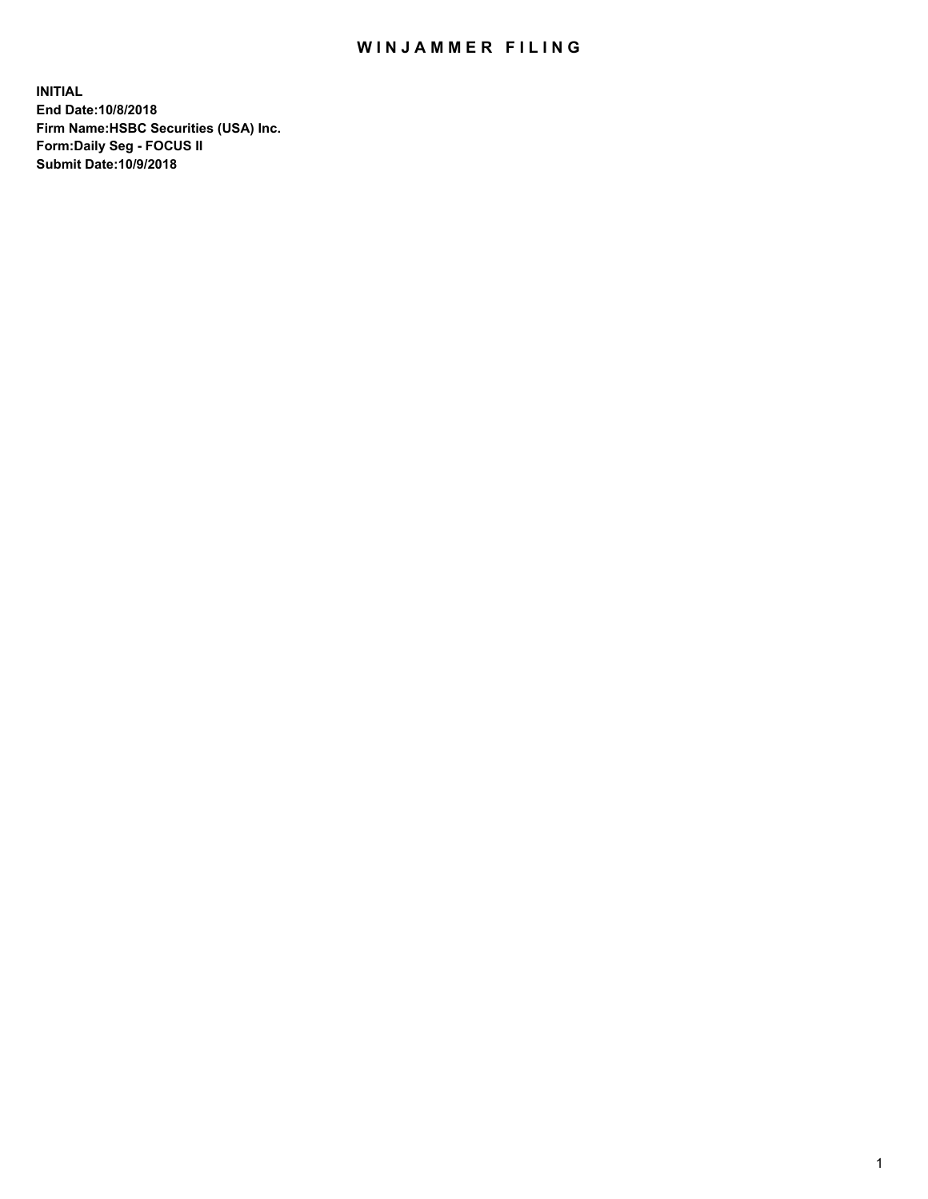## WIN JAMMER FILING

**INITIAL End Date:10/8/2018 Firm Name:HSBC Securities (USA) Inc. Form:Daily Seg - FOCUS II Submit Date:10/9/2018**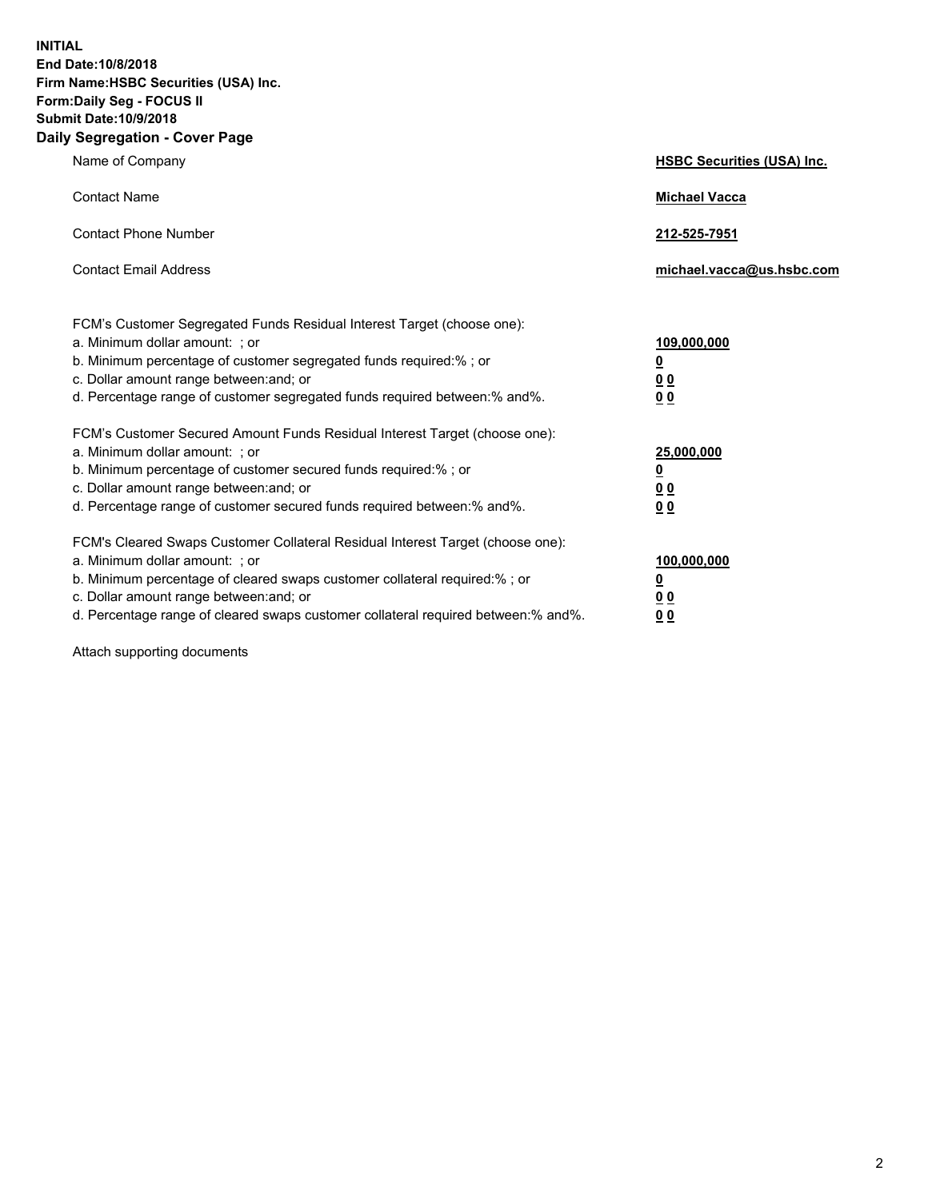**INITIAL End Date:10/8/2018 Firm Name:HSBC Securities (USA) Inc. Form:Daily Seg - FOCUS II Submit Date:10/9/2018 Daily Segregation - Cover Page**

| Name of Company                                                                                                                                                                                                                                                                                                                | <b>HSBC Securities (USA) Inc.</b>                                          |
|--------------------------------------------------------------------------------------------------------------------------------------------------------------------------------------------------------------------------------------------------------------------------------------------------------------------------------|----------------------------------------------------------------------------|
| <b>Contact Name</b>                                                                                                                                                                                                                                                                                                            | <b>Michael Vacca</b>                                                       |
| <b>Contact Phone Number</b>                                                                                                                                                                                                                                                                                                    | 212-525-7951                                                               |
| <b>Contact Email Address</b>                                                                                                                                                                                                                                                                                                   | michael.vacca@us.hsbc.com                                                  |
| FCM's Customer Segregated Funds Residual Interest Target (choose one):<br>a. Minimum dollar amount: ; or<br>b. Minimum percentage of customer segregated funds required:% ; or<br>c. Dollar amount range between: and; or<br>d. Percentage range of customer segregated funds required between:% and%.                         | 109,000,000<br>$\overline{\mathbf{0}}$<br>0 <sub>0</sub><br>0 <sub>0</sub> |
| FCM's Customer Secured Amount Funds Residual Interest Target (choose one):<br>a. Minimum dollar amount: ; or<br>b. Minimum percentage of customer secured funds required:% ; or<br>c. Dollar amount range between: and; or<br>d. Percentage range of customer secured funds required between: % and %.                         | 25,000,000<br>$\overline{\mathbf{0}}$<br>0 <sub>0</sub><br>0 <sub>0</sub>  |
| FCM's Cleared Swaps Customer Collateral Residual Interest Target (choose one):<br>a. Minimum dollar amount: ; or<br>b. Minimum percentage of cleared swaps customer collateral required:% ; or<br>c. Dollar amount range between: and; or<br>d. Percentage range of cleared swaps customer collateral required between:% and%. | 100,000,000<br>$\overline{\mathbf{0}}$<br>0 <sub>0</sub><br>00             |

Attach supporting documents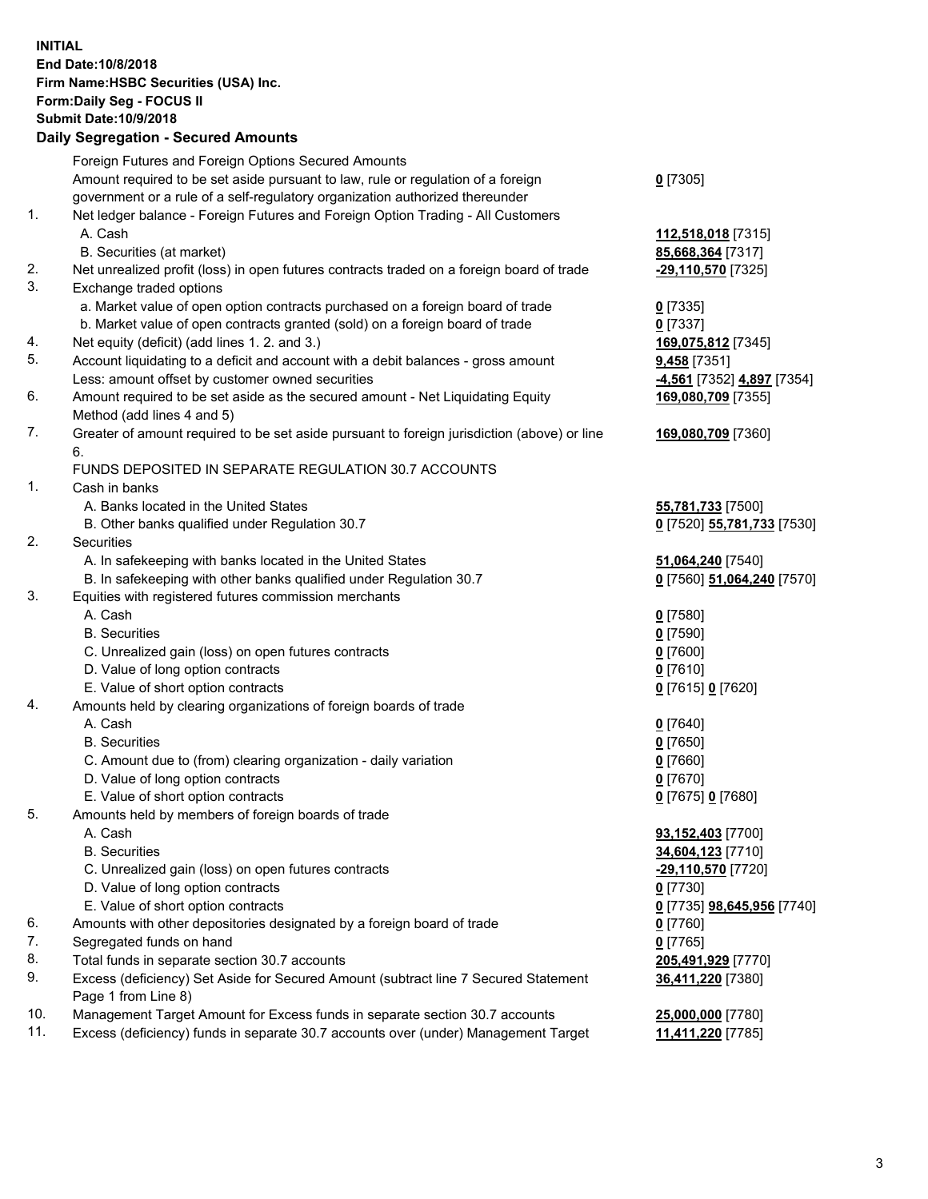**INITIAL End Date:10/8/2018 Firm Name:HSBC Securities (USA) Inc. Form:Daily Seg - FOCUS II Submit Date:10/9/2018 Daily Segregation - Secured Amounts** Foreign Futures and Foreign Options Secured Amounts Amount required to be set aside pursuant to law, rule or regulation of a foreign government or a rule of a self-regulatory organization authorized thereunder **0** [7305] 1. Net ledger balance - Foreign Futures and Foreign Option Trading - All Customers A. Cash **112,518,018** [7315] B. Securities (at market) **85,668,364** [7317] 2. Net unrealized profit (loss) in open futures contracts traded on a foreign board of trade **-29,110,570** [7325] 3. Exchange traded options a. Market value of open option contracts purchased on a foreign board of trade **0** [7335] b. Market value of open contracts granted (sold) on a foreign board of trade **0** [7337] 4. Net equity (deficit) (add lines 1. 2. and 3.) **169,075,812** [7345] 5. Account liquidating to a deficit and account with a debit balances - gross amount **9,458** [7351] Less: amount offset by customer owned securities **-4,561** [7352] **4,897** [7354] 6. Amount required to be set aside as the secured amount - Net Liquidating Equity Method (add lines 4 and 5) **169,080,709** [7355] 7. Greater of amount required to be set aside pursuant to foreign jurisdiction (above) or line 6. **169,080,709** [7360] FUNDS DEPOSITED IN SEPARATE REGULATION 30.7 ACCOUNTS 1. Cash in banks A. Banks located in the United States **55,781,733** [7500] B. Other banks qualified under Regulation 30.7 **0** [7520] **55,781,733** [7530] 2. Securities A. In safekeeping with banks located in the United States **51,064,240** [7540] B. In safekeeping with other banks qualified under Regulation 30.7 **0** [7560] **51,064,240** [7570] 3. Equities with registered futures commission merchants A. Cash **0** [7580] B. Securities **0** [7590] C. Unrealized gain (loss) on open futures contracts **0** [7600] D. Value of long option contracts **0** [7610] E. Value of short option contracts **0** [7615] **0** [7620] 4. Amounts held by clearing organizations of foreign boards of trade A. Cash **0** [7640] B. Securities **0** [7650] C. Amount due to (from) clearing organization - daily variation **0** [7660] D. Value of long option contracts **0** [7670] E. Value of short option contracts **0** [7675] **0** [7680] 5. Amounts held by members of foreign boards of trade A. Cash **93,152,403** [7700] B. Securities **34,604,123** [7710] C. Unrealized gain (loss) on open futures contracts **-29,110,570** [7720] D. Value of long option contracts **0** [7730] E. Value of short option contracts **0** [7735] **98,645,956** [7740] 6. Amounts with other depositories designated by a foreign board of trade **0** [7760] 7. Segregated funds on hand **0** [7765] 8. Total funds in separate section 30.7 accounts **205,491,929** [7770] 9. Excess (deficiency) Set Aside for Secured Amount (subtract line 7 Secured Statement Page 1 from Line 8) **36,411,220** [7380]

10. Management Target Amount for Excess funds in separate section 30.7 accounts **25,000,000** [7780]

11. Excess (deficiency) funds in separate 30.7 accounts over (under) Management Target **11,411,220** [7785]

3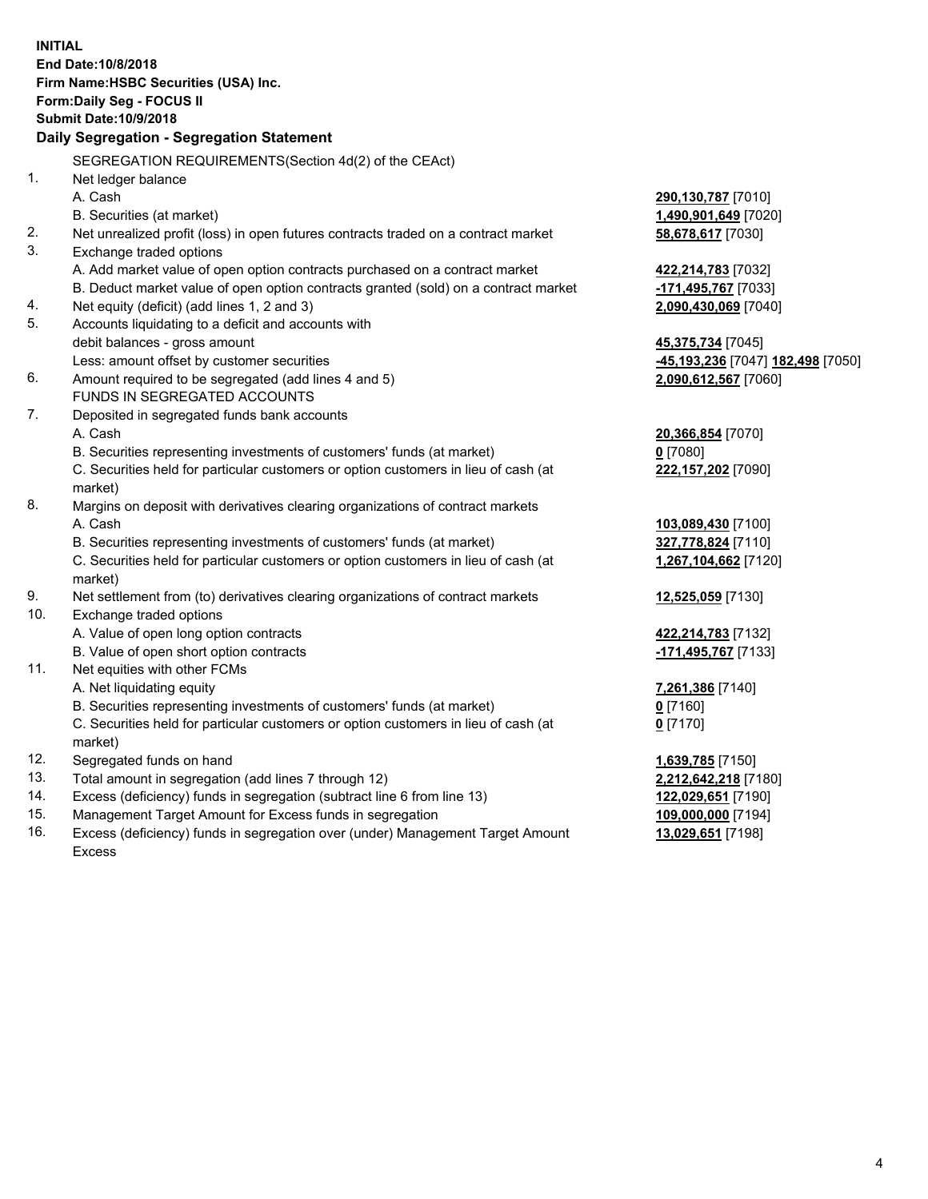|     | <b>INITIAL</b><br>End Date: 10/8/2018<br>Firm Name: HSBC Securities (USA) Inc.<br>Form: Daily Seg - FOCUS II<br><b>Submit Date: 10/9/2018</b><br>Daily Segregation - Segregation Statement |                                                |
|-----|--------------------------------------------------------------------------------------------------------------------------------------------------------------------------------------------|------------------------------------------------|
|     |                                                                                                                                                                                            |                                                |
| 1.  | SEGREGATION REQUIREMENTS(Section 4d(2) of the CEAct)                                                                                                                                       |                                                |
|     | Net ledger balance<br>A. Cash                                                                                                                                                              | 290,130,787 [7010]                             |
|     | B. Securities (at market)                                                                                                                                                                  | 1,490,901,649 [7020]                           |
| 2.  | Net unrealized profit (loss) in open futures contracts traded on a contract market                                                                                                         | 58,678,617 [7030]                              |
| 3.  | Exchange traded options                                                                                                                                                                    |                                                |
|     | A. Add market value of open option contracts purchased on a contract market                                                                                                                | 422,214,783 [7032]                             |
|     | B. Deduct market value of open option contracts granted (sold) on a contract market                                                                                                        | -171,495,767 [7033]                            |
| 4.  | Net equity (deficit) (add lines 1, 2 and 3)                                                                                                                                                | 2,090,430,069 [7040]                           |
| 5.  | Accounts liquidating to a deficit and accounts with                                                                                                                                        |                                                |
|     | debit balances - gross amount                                                                                                                                                              | 45,375,734 [7045]                              |
|     | Less: amount offset by customer securities                                                                                                                                                 | <mark>-45,193,236</mark> [7047] 182,498 [7050] |
| 6.  | Amount required to be segregated (add lines 4 and 5)                                                                                                                                       | 2,090,612,567 [7060]                           |
|     | FUNDS IN SEGREGATED ACCOUNTS                                                                                                                                                               |                                                |
| 7.  | Deposited in segregated funds bank accounts                                                                                                                                                |                                                |
|     | A. Cash                                                                                                                                                                                    | 20,366,854 [7070]                              |
|     | B. Securities representing investments of customers' funds (at market)                                                                                                                     | $0$ [7080]                                     |
|     | C. Securities held for particular customers or option customers in lieu of cash (at                                                                                                        | 222,157,202 [7090]                             |
|     | market)                                                                                                                                                                                    |                                                |
| 8.  | Margins on deposit with derivatives clearing organizations of contract markets                                                                                                             |                                                |
|     | A. Cash                                                                                                                                                                                    | 103,089,430 [7100]                             |
|     | B. Securities representing investments of customers' funds (at market)                                                                                                                     | 327,778,824 [7110]                             |
|     | C. Securities held for particular customers or option customers in lieu of cash (at                                                                                                        | 1,267,104,662 [7120]                           |
|     | market)                                                                                                                                                                                    |                                                |
| 9.  | Net settlement from (to) derivatives clearing organizations of contract markets                                                                                                            | 12,525,059 [7130]                              |
| 10. | Exchange traded options                                                                                                                                                                    |                                                |
|     | A. Value of open long option contracts                                                                                                                                                     | 422,214,783 [7132]                             |
|     | B. Value of open short option contracts                                                                                                                                                    | -171,495,767 [7133]                            |
| 11. | Net equities with other FCMs                                                                                                                                                               |                                                |
|     | A. Net liquidating equity                                                                                                                                                                  | 7,261,386 [7140]                               |
|     | B. Securities representing investments of customers' funds (at market)                                                                                                                     | $0$ [7160]                                     |
|     | C. Securities held for particular customers or option customers in lieu of cash (at                                                                                                        | $0$ [7170]                                     |
| 12. | market)                                                                                                                                                                                    |                                                |
| 13. | Segregated funds on hand<br>Total amount in segregation (add lines 7 through 12)                                                                                                           | 1,639,785 [7150]<br>2,212,642,218 [7180]       |
| 14. | Excess (deficiency) funds in segregation (subtract line 6 from line 13)                                                                                                                    | 122,029,651 [7190]                             |
| 15. | Management Target Amount for Excess funds in segregation                                                                                                                                   | 109,000,000 [7194]                             |
| 16. | Excess (deficiency) funds in segregation over (under) Management Target Amount                                                                                                             | 13,029,651 [7198]                              |
|     |                                                                                                                                                                                            |                                                |

Excess